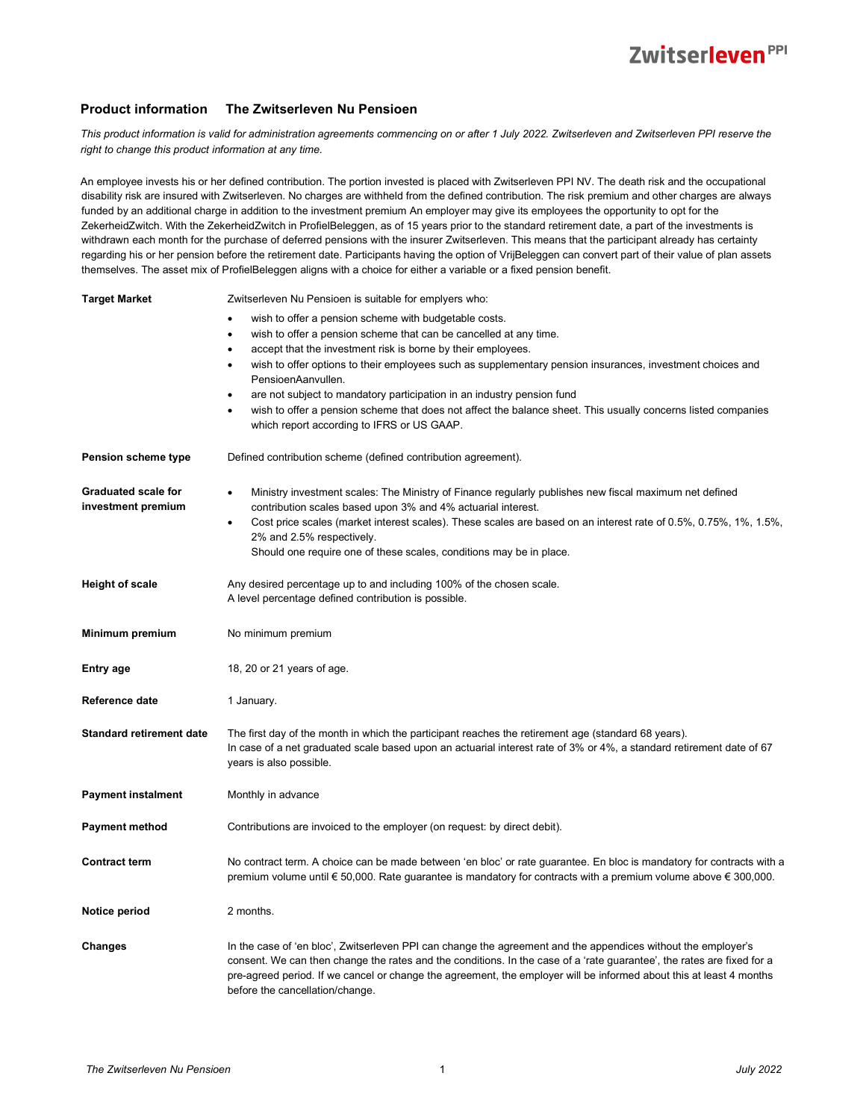## Zwitserleven<sup>PPI</sup>

## **Product information The Zwitserleven Nu Pensioen**

*This product information is valid for administration agreements commencing on or after 1 July 2022. Zwitserleven and Zwitserleven PPI reserve the right to change this product information at any time.*

An employee invests his or her defined contribution. The portion invested is placed with Zwitserleven PPI NV. The death risk and the occupational disability risk are insured with Zwitserleven. No charges are withheld from the defined contribution. The risk premium and other charges are always funded by an additional charge in addition to the investment premium An employer may give its employees the opportunity to opt for the ZekerheidZwitch. With the ZekerheidZwitch in ProfielBeleggen, as of 15 years prior to the standard retirement date, a part of the investments is withdrawn each month for the purchase of deferred pensions with the insurer Zwitserleven. This means that the participant already has certainty regarding his or her pension before the retirement date. Participants having the option of VrijBeleggen can convert part of their value of plan assets themselves. The asset mix of ProfielBeleggen aligns with a choice for either a variable or a fixed pension benefit.

| <b>Target Market</b>            | Zwitserleven Nu Pensioen is suitable for emplyers who:                                                                                                                                                                                                                           |
|---------------------------------|----------------------------------------------------------------------------------------------------------------------------------------------------------------------------------------------------------------------------------------------------------------------------------|
|                                 | wish to offer a pension scheme with budgetable costs.<br>$\bullet$                                                                                                                                                                                                               |
|                                 | wish to offer a pension scheme that can be cancelled at any time.<br>$\bullet$                                                                                                                                                                                                   |
|                                 | accept that the investment risk is borne by their employees.<br>$\bullet$                                                                                                                                                                                                        |
|                                 | wish to offer options to their employees such as supplementary pension insurances, investment choices and<br>$\bullet$<br>PensioenAanvullen.                                                                                                                                     |
|                                 | are not subject to mandatory participation in an industry pension fund                                                                                                                                                                                                           |
|                                 | wish to offer a pension scheme that does not affect the balance sheet. This usually concerns listed companies                                                                                                                                                                    |
|                                 | which report according to IFRS or US GAAP.                                                                                                                                                                                                                                       |
| Pension scheme type             | Defined contribution scheme (defined contribution agreement).                                                                                                                                                                                                                    |
| <b>Graduated scale for</b>      | Ministry investment scales: The Ministry of Finance regularly publishes new fiscal maximum net defined<br>$\bullet$                                                                                                                                                              |
| investment premium              | contribution scales based upon 3% and 4% actuarial interest.                                                                                                                                                                                                                     |
|                                 | Cost price scales (market interest scales). These scales are based on an interest rate of 0.5%, 0.75%, 1%, 1.5%,<br>2% and 2.5% respectively.                                                                                                                                    |
|                                 | Should one require one of these scales, conditions may be in place.                                                                                                                                                                                                              |
|                                 |                                                                                                                                                                                                                                                                                  |
| <b>Height of scale</b>          | Any desired percentage up to and including 100% of the chosen scale.                                                                                                                                                                                                             |
|                                 | A level percentage defined contribution is possible.                                                                                                                                                                                                                             |
|                                 |                                                                                                                                                                                                                                                                                  |
| Minimum premium                 | No minimum premium                                                                                                                                                                                                                                                               |
| Entry age                       | 18, 20 or 21 years of age.                                                                                                                                                                                                                                                       |
| Reference date                  | 1 January.                                                                                                                                                                                                                                                                       |
| <b>Standard retirement date</b> | The first day of the month in which the participant reaches the retirement age (standard 68 years).                                                                                                                                                                              |
|                                 | In case of a net graduated scale based upon an actuarial interest rate of 3% or 4%, a standard retirement date of 67                                                                                                                                                             |
|                                 | years is also possible.                                                                                                                                                                                                                                                          |
|                                 |                                                                                                                                                                                                                                                                                  |
| <b>Payment instalment</b>       | Monthly in advance                                                                                                                                                                                                                                                               |
| <b>Payment method</b>           | Contributions are invoiced to the employer (on request: by direct debit).                                                                                                                                                                                                        |
|                                 |                                                                                                                                                                                                                                                                                  |
| <b>Contract term</b>            | No contract term. A choice can be made between 'en bloc' or rate guarantee. En bloc is mandatory for contracts with a<br>premium volume until € 50,000. Rate guarantee is mandatory for contracts with a premium volume above € 300,000.                                         |
|                                 |                                                                                                                                                                                                                                                                                  |
| Notice period                   | 2 months.                                                                                                                                                                                                                                                                        |
|                                 |                                                                                                                                                                                                                                                                                  |
| <b>Changes</b>                  | In the case of 'en bloc', Zwitserleven PPI can change the agreement and the appendices without the employer's                                                                                                                                                                    |
|                                 | consent. We can then change the rates and the conditions. In the case of a 'rate guarantee', the rates are fixed for a<br>pre-agreed period. If we cancel or change the agreement, the employer will be informed about this at least 4 months<br>before the cancellation/change. |
|                                 |                                                                                                                                                                                                                                                                                  |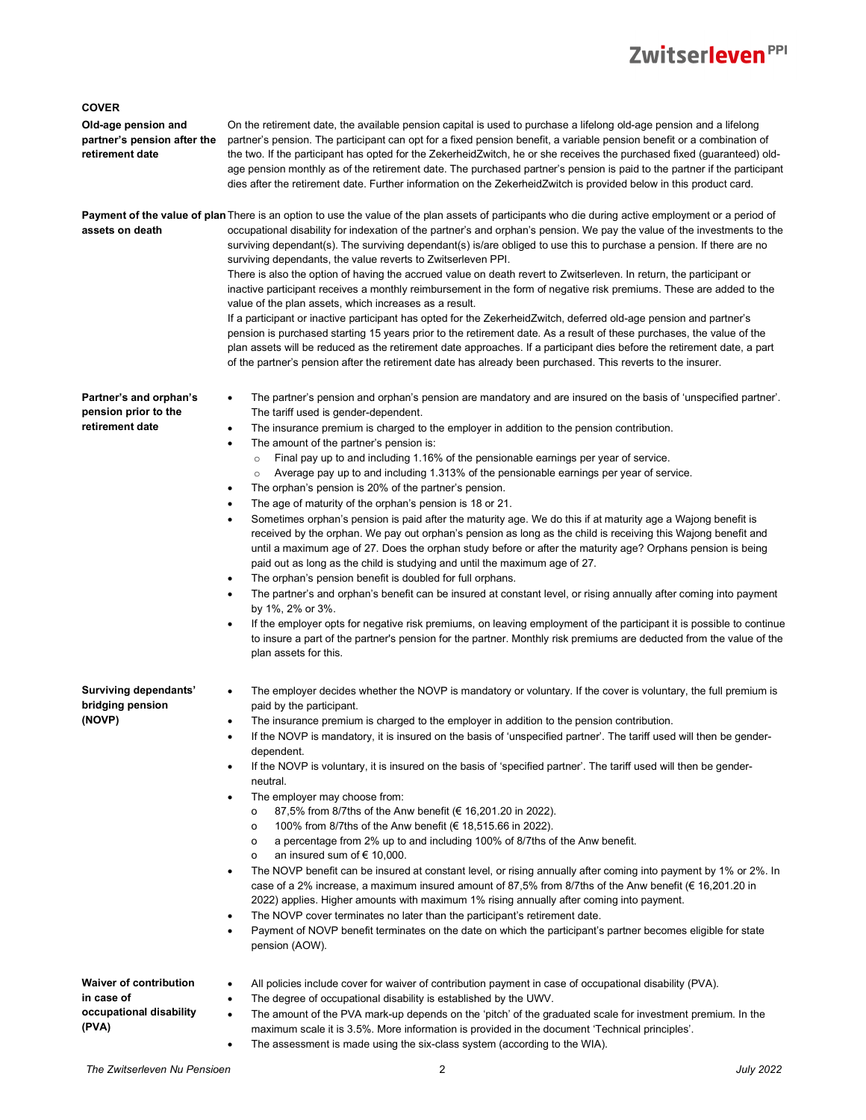## Zwitserleven<sup>PPI</sup>

| <b>COVER</b>                                                                    |                                                                                                                                                                                                                                                                                                                                                                                                                                                                                                                                                                                                                                                                                                                                                                                                                                                                                                                                                                                                                                                                                                                                                                                                                                                                                                                                                                                                                                                                                                                                                                                               |
|---------------------------------------------------------------------------------|-----------------------------------------------------------------------------------------------------------------------------------------------------------------------------------------------------------------------------------------------------------------------------------------------------------------------------------------------------------------------------------------------------------------------------------------------------------------------------------------------------------------------------------------------------------------------------------------------------------------------------------------------------------------------------------------------------------------------------------------------------------------------------------------------------------------------------------------------------------------------------------------------------------------------------------------------------------------------------------------------------------------------------------------------------------------------------------------------------------------------------------------------------------------------------------------------------------------------------------------------------------------------------------------------------------------------------------------------------------------------------------------------------------------------------------------------------------------------------------------------------------------------------------------------------------------------------------------------|
| Old-age pension and<br>partner's pension after the<br>retirement date           | On the retirement date, the available pension capital is used to purchase a lifelong old-age pension and a lifelong<br>partner's pension. The participant can opt for a fixed pension benefit, a variable pension benefit or a combination of<br>the two. If the participant has opted for the ZekerheidZwitch, he or she receives the purchased fixed (guaranteed) old-<br>age pension monthly as of the retirement date. The purchased partner's pension is paid to the partner if the participant<br>dies after the retirement date. Further information on the ZekerheidZwitch is provided below in this product card.                                                                                                                                                                                                                                                                                                                                                                                                                                                                                                                                                                                                                                                                                                                                                                                                                                                                                                                                                                    |
| assets on death                                                                 | <b>Payment of the value of plan</b> There is an option to use the value of the plan assets of participants who die during active employment or a period of<br>occupational disability for indexation of the partner's and orphan's pension. We pay the value of the investments to the<br>surviving dependant(s). The surviving dependant(s) is/are obliged to use this to purchase a pension. If there are no<br>surviving dependants, the value reverts to Zwitserleven PPI.<br>There is also the option of having the accrued value on death revert to Zwitserleven. In return, the participant or<br>inactive participant receives a monthly reimbursement in the form of negative risk premiums. These are added to the<br>value of the plan assets, which increases as a result.<br>If a participant or inactive participant has opted for the ZekerheidZwitch, deferred old-age pension and partner's<br>pension is purchased starting 15 years prior to the retirement date. As a result of these purchases, the value of the<br>plan assets will be reduced as the retirement date approaches. If a participant dies before the retirement date, a part<br>of the partner's pension after the retirement date has already been purchased. This reverts to the insurer.                                                                                                                                                                                                                                                                                                               |
| Partner's and orphan's<br>pension prior to the<br>retirement date               | The partner's pension and orphan's pension are mandatory and are insured on the basis of 'unspecified partner'.<br>$\bullet$<br>The tariff used is gender-dependent.<br>The insurance premium is charged to the employer in addition to the pension contribution.<br>$\bullet$<br>The amount of the partner's pension is:<br>$\bullet$<br>Final pay up to and including 1.16% of the pensionable earnings per year of service.<br>$\circ$<br>Average pay up to and including 1.313% of the pensionable earnings per year of service.<br>$\circ$<br>The orphan's pension is 20% of the partner's pension.<br>The age of maturity of the orphan's pension is 18 or 21.<br>Sometimes orphan's pension is paid after the maturity age. We do this if at maturity age a Wajong benefit is<br>$\bullet$<br>received by the orphan. We pay out orphan's pension as long as the child is receiving this Wajong benefit and<br>until a maximum age of 27. Does the orphan study before or after the maturity age? Orphans pension is being<br>paid out as long as the child is studying and until the maximum age of 27.<br>The orphan's pension benefit is doubled for full orphans.<br>The partner's and orphan's benefit can be insured at constant level, or rising annually after coming into payment<br>by 1%, 2% or 3%.<br>If the employer opts for negative risk premiums, on leaving employment of the participant it is possible to continue<br>to insure a part of the partner's pension for the partner. Monthly risk premiums are deducted from the value of the<br>plan assets for this. |
| Surviving dependants'<br>bridging pension<br>(NOVP)                             | The employer decides whether the NOVP is mandatory or voluntary. If the cover is voluntary, the full premium is<br>paid by the participant.<br>The insurance premium is charged to the employer in addition to the pension contribution.<br>$\bullet$<br>If the NOVP is mandatory, it is insured on the basis of 'unspecified partner'. The tariff used will then be gender-<br>$\bullet$<br>dependent.<br>If the NOVP is voluntary, it is insured on the basis of 'specified partner'. The tariff used will then be gender-<br>neutral.<br>The employer may choose from:<br>$\bullet$<br>87,5% from 8/7ths of the Anw benefit (€ 16,201.20 in 2022).<br>о<br>100% from 8/7ths of the Anw benefit (€ 18,515.66 in 2022).<br>$\circ$<br>a percentage from 2% up to and including 100% of 8/7ths of the Anw benefit.<br>о<br>an insured sum of € 10,000.<br>о<br>The NOVP benefit can be insured at constant level, or rising annually after coming into payment by 1% or 2%. In<br>$\bullet$<br>case of a 2% increase, a maximum insured amount of 87,5% from 8/7ths of the Anw benefit ( $\epsilon$ 16,201.20 in<br>2022) applies. Higher amounts with maximum 1% rising annually after coming into payment.<br>The NOVP cover terminates no later than the participant's retirement date.<br>Payment of NOVP benefit terminates on the date on which the participant's partner becomes eligible for state<br>pension (AOW).                                                                                                                                                                  |
| <b>Waiver of contribution</b><br>in case of<br>occupational disability<br>(PVA) | All policies include cover for waiver of contribution payment in case of occupational disability (PVA).<br>$\bullet$<br>The degree of occupational disability is established by the UWV.<br>$\bullet$<br>The amount of the PVA mark-up depends on the 'pitch' of the graduated scale for investment premium. In the<br>$\bullet$<br>maximum scale it is 3.5%. More information is provided in the document 'Technical principles'.<br>The assessment is made using the six-class system (according to the WIA).<br>$\bullet$                                                                                                                                                                                                                                                                                                                                                                                                                                                                                                                                                                                                                                                                                                                                                                                                                                                                                                                                                                                                                                                                  |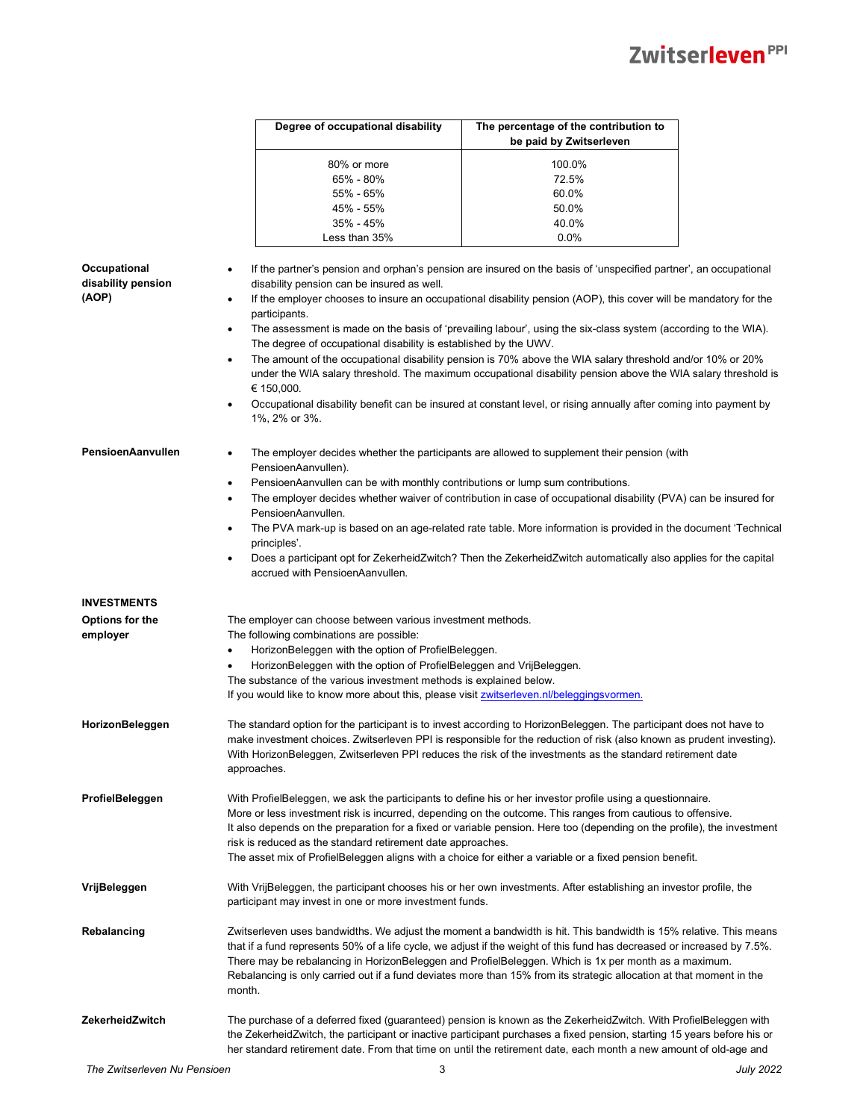|                                    | Degree of occupational disability                                                                                              | The percentage of the contribution to<br>be paid by Zwitserleven                                                                                                                                                                                                                                                                                                                                                                                                             |  |
|------------------------------------|--------------------------------------------------------------------------------------------------------------------------------|------------------------------------------------------------------------------------------------------------------------------------------------------------------------------------------------------------------------------------------------------------------------------------------------------------------------------------------------------------------------------------------------------------------------------------------------------------------------------|--|
|                                    | 80% or more                                                                                                                    | 100.0%                                                                                                                                                                                                                                                                                                                                                                                                                                                                       |  |
|                                    | 65% - 80%                                                                                                                      | 72.5%                                                                                                                                                                                                                                                                                                                                                                                                                                                                        |  |
|                                    | 55% - 65%                                                                                                                      | 60.0%                                                                                                                                                                                                                                                                                                                                                                                                                                                                        |  |
|                                    | 45% - 55%                                                                                                                      | 50.0%                                                                                                                                                                                                                                                                                                                                                                                                                                                                        |  |
|                                    | 35% - 45%                                                                                                                      | 40.0%                                                                                                                                                                                                                                                                                                                                                                                                                                                                        |  |
|                                    | Less than 35%                                                                                                                  | 0.0%                                                                                                                                                                                                                                                                                                                                                                                                                                                                         |  |
|                                    |                                                                                                                                | If the partner's pension and orphan's pension are insured on the basis of 'unspecified partner', an occupational                                                                                                                                                                                                                                                                                                                                                             |  |
| Occupational<br>disability pension | ٠<br>disability pension can be insured as well.                                                                                |                                                                                                                                                                                                                                                                                                                                                                                                                                                                              |  |
| (AOP)                              | participants.                                                                                                                  | If the employer chooses to insure an occupational disability pension (AOP), this cover will be mandatory for the                                                                                                                                                                                                                                                                                                                                                             |  |
|                                    | $\bullet$<br>The degree of occupational disability is established by the UWV.                                                  | The assessment is made on the basis of 'prevailing labour', using the six-class system (according to the WIA).                                                                                                                                                                                                                                                                                                                                                               |  |
|                                    | $\bullet$<br>€ 150,000.                                                                                                        | The amount of the occupational disability pension is 70% above the WIA salary threshold and/or 10% or 20%<br>under the WIA salary threshold. The maximum occupational disability pension above the WIA salary threshold is                                                                                                                                                                                                                                                   |  |
|                                    | 1%, 2% or 3%.                                                                                                                  | Occupational disability benefit can be insured at constant level, or rising annually after coming into payment by                                                                                                                                                                                                                                                                                                                                                            |  |
| PensioenAanvullen                  | PensioenAanvullen).                                                                                                            | The employer decides whether the participants are allowed to supplement their pension (with                                                                                                                                                                                                                                                                                                                                                                                  |  |
|                                    | PensioenAanvullen can be with monthly contributions or lump sum contributions.<br>$\bullet$<br>$\bullet$<br>PensioenAanvullen. | The employer decides whether waiver of contribution in case of occupational disability (PVA) can be insured for                                                                                                                                                                                                                                                                                                                                                              |  |
|                                    | ٠<br>principles'.                                                                                                              | The PVA mark-up is based on an age-related rate table. More information is provided in the document 'Technical                                                                                                                                                                                                                                                                                                                                                               |  |
|                                    | $\bullet$<br>accrued with PensioenAanvullen.                                                                                   | Does a participant opt for ZekerheidZwitch? Then the ZekerheidZwitch automatically also applies for the capital                                                                                                                                                                                                                                                                                                                                                              |  |
| <b>INVESTMENTS</b>                 |                                                                                                                                |                                                                                                                                                                                                                                                                                                                                                                                                                                                                              |  |
| Options for the                    | The employer can choose between various investment methods.                                                                    |                                                                                                                                                                                                                                                                                                                                                                                                                                                                              |  |
| employer                           | The following combinations are possible:                                                                                       |                                                                                                                                                                                                                                                                                                                                                                                                                                                                              |  |
|                                    | HorizonBeleggen with the option of ProfielBeleggen.<br>$\bullet$                                                               |                                                                                                                                                                                                                                                                                                                                                                                                                                                                              |  |
|                                    | HorizonBeleggen with the option of ProfielBeleggen and VrijBeleggen.                                                           |                                                                                                                                                                                                                                                                                                                                                                                                                                                                              |  |
|                                    | The substance of the various investment methods is explained below.                                                            |                                                                                                                                                                                                                                                                                                                                                                                                                                                                              |  |
|                                    | If you would like to know more about this, please visit zwitserleven.nl/beleggingsvormen.                                      |                                                                                                                                                                                                                                                                                                                                                                                                                                                                              |  |
| HorizonBeleggen                    | approaches.                                                                                                                    | The standard option for the participant is to invest according to HorizonBeleggen. The participant does not have to<br>make investment choices. Zwitserleven PPI is responsible for the reduction of risk (also known as prudent investing).<br>With HorizonBeleggen, Zwitserleven PPI reduces the risk of the investments as the standard retirement date                                                                                                                   |  |
| ProfielBeleggen                    |                                                                                                                                | With ProfielBeleggen, we ask the participants to define his or her investor profile using a questionnaire.<br>More or less investment risk is incurred, depending on the outcome. This ranges from cautious to offensive.<br>It also depends on the preparation for a fixed or variable pension. Here too (depending on the profile), the investment                                                                                                                         |  |
|                                    | risk is reduced as the standard retirement date approaches.                                                                    | The asset mix of ProfielBeleggen aligns with a choice for either a variable or a fixed pension benefit.                                                                                                                                                                                                                                                                                                                                                                      |  |
| VrijBeleggen                       | participant may invest in one or more investment funds.                                                                        | With VrijBeleggen, the participant chooses his or her own investments. After establishing an investor profile, the                                                                                                                                                                                                                                                                                                                                                           |  |
| <b>Rebalancing</b>                 | month.                                                                                                                         | Zwitserleven uses bandwidths. We adjust the moment a bandwidth is hit. This bandwidth is 15% relative. This means<br>that if a fund represents 50% of a life cycle, we adjust if the weight of this fund has decreased or increased by 7.5%.<br>There may be rebalancing in HorizonBeleggen and ProfielBeleggen. Which is 1x per month as a maximum.<br>Rebalancing is only carried out if a fund deviates more than 15% from its strategic allocation at that moment in the |  |
| ZekerheidZwitch                    |                                                                                                                                | The purchase of a deferred fixed (guaranteed) pension is known as the ZekerheidZwitch. With ProfielBeleggen with<br>the ZekerheidZwitch, the participant or inactive participant purchases a fixed pension, starting 15 years before his or<br>her standard retirement date. From that time on until the retirement date, each month a new amount of old-age and                                                                                                             |  |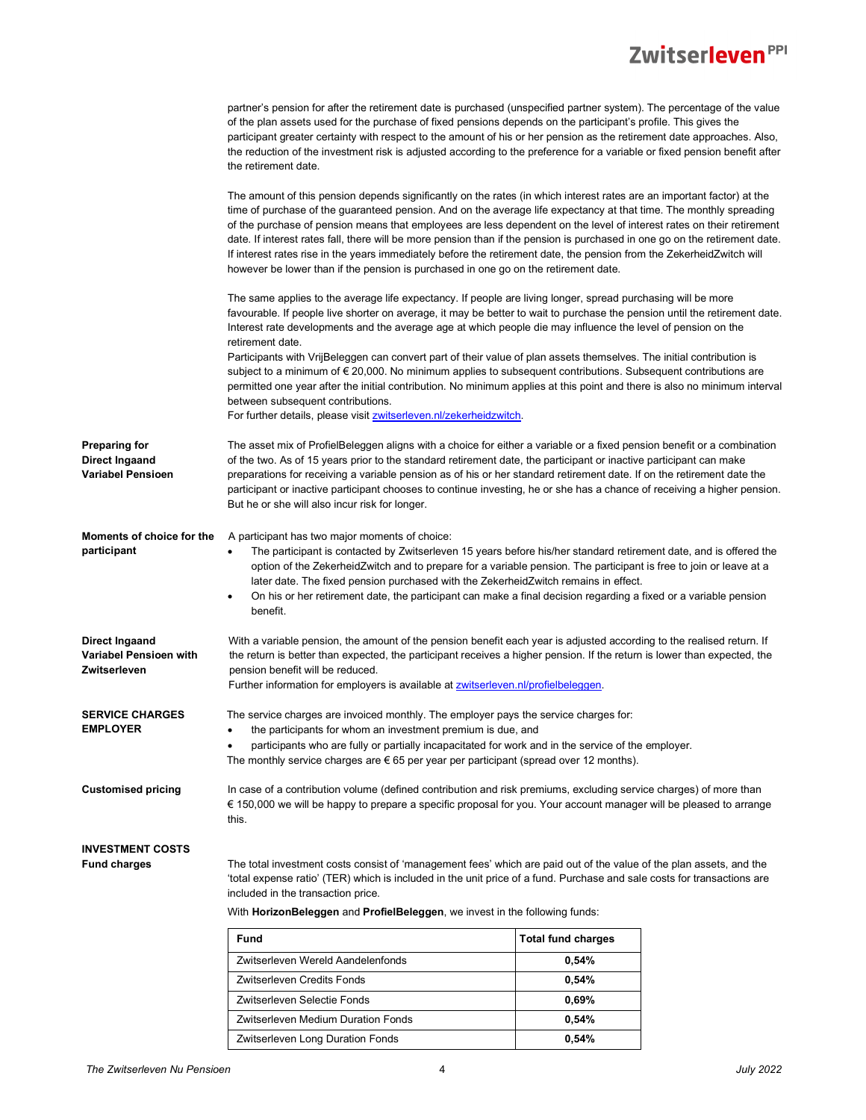|                                                                 | partner's pension for after the retirement date is purchased (unspecified partner system). The percentage of the value<br>of the plan assets used for the purchase of fixed pensions depends on the participant's profile. This gives the                                                                                                                                                                                                                                                                                                                                                                                                                                                                            |                           |  |
|-----------------------------------------------------------------|----------------------------------------------------------------------------------------------------------------------------------------------------------------------------------------------------------------------------------------------------------------------------------------------------------------------------------------------------------------------------------------------------------------------------------------------------------------------------------------------------------------------------------------------------------------------------------------------------------------------------------------------------------------------------------------------------------------------|---------------------------|--|
|                                                                 | participant greater certainty with respect to the amount of his or her pension as the retirement date approaches. Also,<br>the reduction of the investment risk is adjusted according to the preference for a variable or fixed pension benefit after<br>the retirement date.                                                                                                                                                                                                                                                                                                                                                                                                                                        |                           |  |
|                                                                 | The amount of this pension depends significantly on the rates (in which interest rates are an important factor) at the<br>time of purchase of the guaranteed pension. And on the average life expectancy at that time. The monthly spreading<br>of the purchase of pension means that employees are less dependent on the level of interest rates on their retirement<br>date. If interest rates fall, there will be more pension than if the pension is purchased in one go on the retirement date.<br>If interest rates rise in the years immediately before the retirement date, the pension from the ZekerheidZwitch will<br>however be lower than if the pension is purchased in one go on the retirement date. |                           |  |
|                                                                 | The same applies to the average life expectancy. If people are living longer, spread purchasing will be more<br>favourable. If people live shorter on average, it may be better to wait to purchase the pension until the retirement date.<br>Interest rate developments and the average age at which people die may influence the level of pension on the<br>retirement date.                                                                                                                                                                                                                                                                                                                                       |                           |  |
|                                                                 | Participants with VrijBeleggen can convert part of their value of plan assets themselves. The initial contribution is<br>subject to a minimum of € 20,000. No minimum applies to subsequent contributions. Subsequent contributions are<br>permitted one year after the initial contribution. No minimum applies at this point and there is also no minimum interval<br>between subsequent contributions.<br>For further details, please visit <b>zwitserleven.nl/zekerheidzwitch</b> .                                                                                                                                                                                                                              |                           |  |
| <b>Preparing for</b><br>Direct Ingaand<br>Variabel Pensioen     | The asset mix of ProfielBeleggen aligns with a choice for either a variable or a fixed pension benefit or a combination<br>of the two. As of 15 years prior to the standard retirement date, the participant or inactive participant can make<br>preparations for receiving a variable pension as of his or her standard retirement date. If on the retirement date the<br>participant or inactive participant chooses to continue investing, he or she has a chance of receiving a higher pension.<br>But he or she will also incur risk for longer.                                                                                                                                                                |                           |  |
| Moments of choice for the<br>participant                        | A participant has two major moments of choice:<br>The participant is contacted by Zwitserleven 15 years before his/her standard retirement date, and is offered the<br>$\bullet$<br>option of the ZekerheidZwitch and to prepare for a variable pension. The participant is free to join or leave at a<br>later date. The fixed pension purchased with the ZekerheidZwitch remains in effect.<br>On his or her retirement date, the participant can make a final decision regarding a fixed or a variable pension<br>benefit.                                                                                                                                                                                        |                           |  |
| <b>Direct Ingaand</b><br>Variabel Pensioen with<br>Zwitserleven | With a variable pension, the amount of the pension benefit each year is adjusted according to the realised return. If<br>the return is better than expected, the participant receives a higher pension. If the return is lower than expected, the<br>pension benefit will be reduced.<br>Further information for employers is available at <b>zwitserleven.nl/profielbeleggen</b> .                                                                                                                                                                                                                                                                                                                                  |                           |  |
| <b>SERVICE CHARGES</b><br><b>EMPLOYER</b>                       | The service charges are invoiced monthly. The employer pays the service charges for:<br>the participants for whom an investment premium is due, and<br>$\bullet$<br>participants who are fully or partially incapacitated for work and in the service of the employer.<br>٠<br>The monthly service charges are $\epsilon$ 65 per year per participant (spread over 12 months).                                                                                                                                                                                                                                                                                                                                       |                           |  |
| <b>Customised pricing</b>                                       | In case of a contribution volume (defined contribution and risk premiums, excluding service charges) of more than<br>€ 150,000 we will be happy to prepare a specific proposal for you. Your account manager will be pleased to arrange<br>this.                                                                                                                                                                                                                                                                                                                                                                                                                                                                     |                           |  |
| <b>INVESTMENT COSTS</b>                                         |                                                                                                                                                                                                                                                                                                                                                                                                                                                                                                                                                                                                                                                                                                                      |                           |  |
| <b>Fund charges</b>                                             | The total investment costs consist of 'management fees' which are paid out of the value of the plan assets, and the<br>'total expense ratio' (TER) which is included in the unit price of a fund. Purchase and sale costs for transactions are<br>included in the transaction price.                                                                                                                                                                                                                                                                                                                                                                                                                                 |                           |  |
|                                                                 | With HorizonBeleggen and ProfielBeleggen, we invest in the following funds:                                                                                                                                                                                                                                                                                                                                                                                                                                                                                                                                                                                                                                          |                           |  |
|                                                                 | Fund                                                                                                                                                                                                                                                                                                                                                                                                                                                                                                                                                                                                                                                                                                                 | <b>Total fund charges</b> |  |
|                                                                 | Zwitserleven Wereld Aandelenfonds                                                                                                                                                                                                                                                                                                                                                                                                                                                                                                                                                                                                                                                                                    | 0,54%                     |  |
|                                                                 | Zwitserleven Credits Fonds                                                                                                                                                                                                                                                                                                                                                                                                                                                                                                                                                                                                                                                                                           | 0,54%                     |  |
|                                                                 | Zwitserleven Selectie Fonds                                                                                                                                                                                                                                                                                                                                                                                                                                                                                                                                                                                                                                                                                          | 0,69%                     |  |
|                                                                 | Zwitserleven Medium Duration Fonds                                                                                                                                                                                                                                                                                                                                                                                                                                                                                                                                                                                                                                                                                   | 0,54%                     |  |

Zwitserleven Long Duration Fonds **0,54%**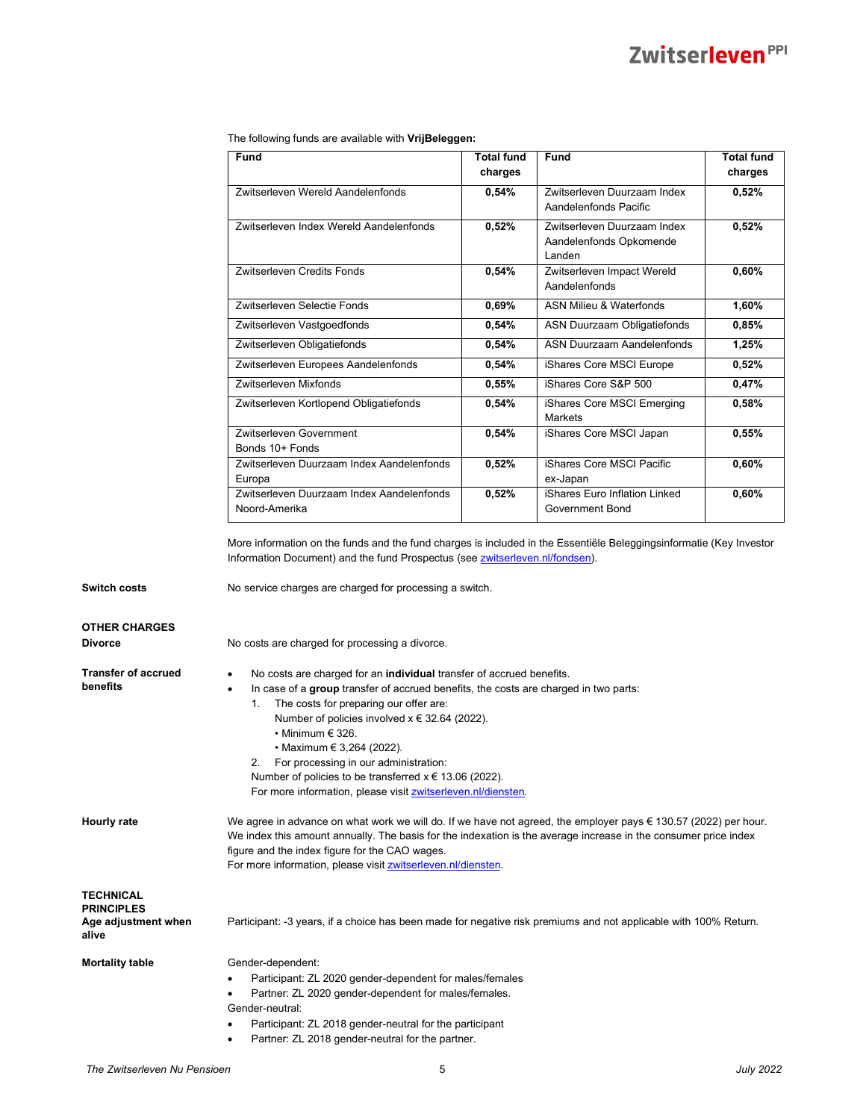The following funds are available with **VrijBeleggen:**

| Fund                                                       | <b>Total fund</b><br>charges | Fund                                                             | <b>Total fund</b><br>charges |
|------------------------------------------------------------|------------------------------|------------------------------------------------------------------|------------------------------|
| Zwitserleven Wereld Aandelenfonds                          | 0,54%                        | Zwitserleven Duurzaam Index<br>Aandelenfonds Pacific             | 0,52%                        |
| Zwitserleven Index Wereld Aandelenfonds                    | 0,52%                        | Zwitserleven Duurzaam Index<br>Aandelenfonds Opkomende<br>Landen | 0,52%                        |
| Zwitserleven Credits Fonds                                 | 0,54%                        | Zwitserleven Impact Wereld<br>Aandelenfonds                      | 0,60%                        |
| Zwitserleven Selectie Fonds                                | 0,69%                        | <b>ASN Milieu &amp; Waterfonds</b>                               | 1,60%                        |
| Zwitserleven Vastgoedfonds                                 | 0.54%                        | ASN Duurzaam Obligatiefonds                                      | 0,85%                        |
| Zwitserleven Obligatiefonds                                | 0,54%                        | ASN Duurzaam Aandelenfonds                                       | 1,25%                        |
| Zwitserleven Europees Aandelenfonds                        | 0,54%                        | iShares Core MSCI Europe                                         | 0,52%                        |
| Zwitserleven Mixfonds                                      | 0.55%                        | iShares Core S&P 500                                             | 0,47%                        |
| Zwitserleven Kortlopend Obligatiefonds                     | 0.54%                        | iShares Core MSCI Emerging<br>Markets                            | 0,58%                        |
| Zwitserleven Government<br>Bonds 10+ Fonds                 | 0,54%                        | iShares Core MSCI Japan                                          | 0,55%                        |
| Zwitserleven Duurzaam Index Aandelenfonds<br>Europa        | 0,52%                        | iShares Core MSCI Pacific<br>ex-Japan                            | 0,60%                        |
| Zwitserleven Duurzaam Index Aandelenfonds<br>Noord-Amerika | 0,52%                        | iShares Euro Inflation Linked<br>Government Bond                 | 0,60%                        |

More information on the funds and the fund charges is included in the Essentiële Beleggingsinformatie (Key Investor Information Document) and the fund Prospectus (see **zwitserleven.nl/fondsen**).

**Switch costs No service charges are charged for processing a switch.** 

| <b>OTHER CHARGES</b> |
|----------------------|
| <b>Divorce</b>       |
|                      |

**Divorce** No costs are charged for processing a divorce.

- **Transfer of accrued benefits**
- No costs are charged for an **individual** transfer of accrued benefits.
- In case of a **group** transfer of accrued benefits, the costs are charged in two parts:
	- 1. The costs for preparing our offer are:
		- Number of policies involved x € 32.64 (2022).
			- Minimum € 326.
		- Maximum € 3,264 (2022).
	- 2. For processing in our administration:
	- Number of policies to be transferred  $x \in 13.06$  (2022).
	- For more information, please visit **zwitserleven.nl/diensten.**

**Hourly rate** We agree in advance on what work we will do. If we have not agreed, the employer pays € 130.57 (2022) per hour. We index this amount annually. The basis for the indexation is the average increase in the consumer price index figure and the index figure for the CAO wages. For more information, please visit **zwitserleven.nl/diensten**.

| <b>TECHNICAL</b>             |
|------------------------------|
| <b>PRINCIPLES</b>            |
| Age adjustment when<br>alive |

Participant: -3 years, if a choice has been made for negative risk premiums and not applicable with 100% Return.

**Mortality table Gender-dependent:** 

- Participant: ZL 2020 gender-dependent for males/females
- Partner: ZL 2020 gender-dependent for males/females.
- Gender-neutral:
	- Participant: ZL 2018 gender-neutral for the participant
		- Partner: ZL 2018 gender-neutral for the partner.